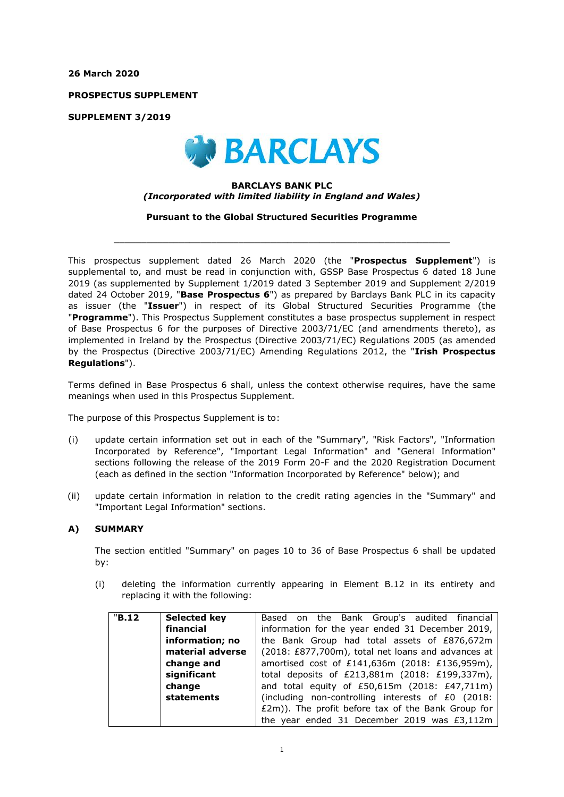**26 March 2020**

**PROSPECTUS SUPPLEMENT**

**SUPPLEMENT 3/2019**



### **BARCLAYS BANK PLC** *(Incorporated with limited liability in England and Wales)*

**Pursuant to the Global Structured Securities Programme**

 $\_$  , and the set of the set of the set of the set of the set of the set of the set of the set of the set of the set of the set of the set of the set of the set of the set of the set of the set of the set of the set of th

This prospectus supplement dated 26 March 2020 (the "**Prospectus Supplement**") is supplemental to, and must be read in conjunction with, GSSP Base Prospectus 6 dated 18 June 2019 (as supplemented by Supplement 1/2019 dated 3 September 2019 and Supplement 2/2019 dated 24 October 2019, "**Base Prospectus 6**") as prepared by Barclays Bank PLC in its capacity as issuer (the "**Issuer**") in respect of its Global Structured Securities Programme (the "**Programme**"). This Prospectus Supplement constitutes a base prospectus supplement in respect of Base Prospectus 6 for the purposes of Directive 2003/71/EC (and amendments thereto), as implemented in Ireland by the Prospectus (Directive 2003/71/EC) Regulations 2005 (as amended by the Prospectus (Directive 2003/71/EC) Amending Regulations 2012, the "**Irish Prospectus Regulations**").

Terms defined in Base Prospectus 6 shall, unless the context otherwise requires, have the same meanings when used in this Prospectus Supplement.

The purpose of this Prospectus Supplement is to:

- (i) update certain information set out in each of the "Summary", "Risk Factors", "Information Incorporated by Reference", "Important Legal Information" and "General Information" sections following the release of the 2019 Form 20-F and the 2020 Registration Document (each as defined in the section "Information Incorporated by Reference" below); and
- (ii) update certain information in relation to the credit rating agencies in the "Summary" and "Important Legal Information" sections.

### **A) SUMMARY**

The section entitled "Summary" on pages 10 to 36 of Base Prospectus 6 shall be updated by:

(i) deleting the information currently appearing in Element B.12 in its entirety and replacing it with the following:

| "B.12" | Selected key     | Based on the Bank Group's audited financial        |  |  |
|--------|------------------|----------------------------------------------------|--|--|
|        | financial        | information for the year ended 31 December 2019,   |  |  |
|        | information; no  | the Bank Group had total assets of £876,672m       |  |  |
|        | material adverse | (2018: £877,700m), total net loans and advances at |  |  |
|        | change and       | amortised cost of £141,636m (2018: £136,959m),     |  |  |
|        | significant      | total deposits of £213,881m (2018: £199,337m),     |  |  |
|        | change           | and total equity of £50,615m (2018: £47,711m)      |  |  |
|        | statements       | (including non-controlling interests of £0 (2018:  |  |  |
|        |                  | £2m)). The profit before tax of the Bank Group for |  |  |
|        |                  | the year ended 31 December 2019 was £3,112m        |  |  |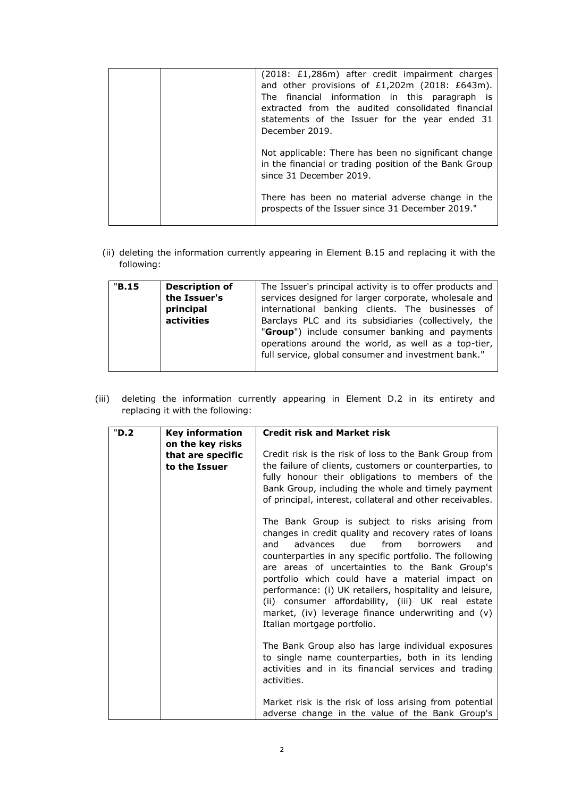|  | (2018: £1,286m) after credit impairment charges<br>and other provisions of £1,202m (2018: £643m).<br>The financial information in this paragraph is<br>extracted from the audited consolidated financial<br>statements of the Issuer for the year ended 31<br>December 2019. |
|--|------------------------------------------------------------------------------------------------------------------------------------------------------------------------------------------------------------------------------------------------------------------------------|
|  | Not applicable: There has been no significant change<br>in the financial or trading position of the Bank Group<br>since 31 December 2019.                                                                                                                                    |
|  | There has been no material adverse change in the<br>prospects of the Issuer since 31 December 2019."                                                                                                                                                                         |

(ii) deleting the information currently appearing in Element B.15 and replacing it with the following:

| "B.15" | <b>Description of</b> | The Issuer's principal activity is to offer products and |  |  |
|--------|-----------------------|----------------------------------------------------------|--|--|
|        | the Issuer's          | services designed for larger corporate, wholesale and    |  |  |
|        | principal             | international banking clients. The businesses of         |  |  |
|        | activities            | Barclays PLC and its subsidiaries (collectively, the     |  |  |
|        |                       | "Group") include consumer banking and payments           |  |  |
|        |                       | operations around the world, as well as a top-tier,      |  |  |
|        |                       | full service, global consumer and investment bank."      |  |  |
|        |                       |                                                          |  |  |
|        |                       |                                                          |  |  |

(iii) deleting the information currently appearing in Element D.2 in its entirety and replacing it with the following:

| "D.2 | <b>Key information</b><br>on the key risks | <b>Credit risk and Market risk</b>                                                                                                                                                                                                                                                                                                                                                                                                                                                                                                  |
|------|--------------------------------------------|-------------------------------------------------------------------------------------------------------------------------------------------------------------------------------------------------------------------------------------------------------------------------------------------------------------------------------------------------------------------------------------------------------------------------------------------------------------------------------------------------------------------------------------|
|      | that are specific<br>to the Issuer         | Credit risk is the risk of loss to the Bank Group from<br>the failure of clients, customers or counterparties, to<br>fully honour their obligations to members of the<br>Bank Group, including the whole and timely payment<br>of principal, interest, collateral and other receivables.                                                                                                                                                                                                                                            |
|      |                                            | The Bank Group is subject to risks arising from<br>changes in credit quality and recovery rates of loans<br>due<br>from<br>advances<br>borrowers<br>and<br>and<br>counterparties in any specific portfolio. The following<br>are areas of uncertainties to the Bank Group's<br>portfolio which could have a material impact on<br>performance: (i) UK retailers, hospitality and leisure,<br>(ii) consumer affordability, (iii) UK real estate<br>market, (iv) leverage finance underwriting and (v)<br>Italian mortgage portfolio. |
|      |                                            | The Bank Group also has large individual exposures<br>to single name counterparties, both in its lending<br>activities and in its financial services and trading<br>activities.                                                                                                                                                                                                                                                                                                                                                     |
|      |                                            | Market risk is the risk of loss arising from potential<br>adverse change in the value of the Bank Group's                                                                                                                                                                                                                                                                                                                                                                                                                           |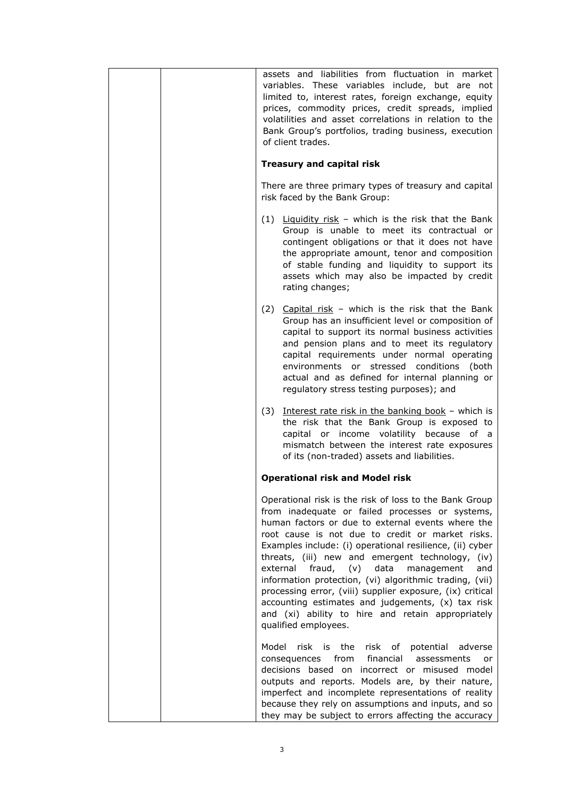| assets and liabilities from fluctuation in market<br>variables. These variables include, but are not<br>limited to, interest rates, foreign exchange, equity<br>prices, commodity prices, credit spreads, implied<br>volatilities and asset correlations in relation to the<br>Bank Group's portfolios, trading business, execution<br>of client trades.                                                                                                                                                                                                                                                                                                  |
|-----------------------------------------------------------------------------------------------------------------------------------------------------------------------------------------------------------------------------------------------------------------------------------------------------------------------------------------------------------------------------------------------------------------------------------------------------------------------------------------------------------------------------------------------------------------------------------------------------------------------------------------------------------|
| <b>Treasury and capital risk</b>                                                                                                                                                                                                                                                                                                                                                                                                                                                                                                                                                                                                                          |
| There are three primary types of treasury and capital<br>risk faced by the Bank Group:                                                                                                                                                                                                                                                                                                                                                                                                                                                                                                                                                                    |
| $(1)$ Liquidity risk - which is the risk that the Bank<br>Group is unable to meet its contractual or<br>contingent obligations or that it does not have<br>the appropriate amount, tenor and composition<br>of stable funding and liquidity to support its<br>assets which may also be impacted by credit<br>rating changes;                                                                                                                                                                                                                                                                                                                              |
| (2) Capital risk - which is the risk that the Bank<br>Group has an insufficient level or composition of<br>capital to support its normal business activities<br>and pension plans and to meet its regulatory<br>capital requirements under normal operating<br>environments or stressed conditions (both<br>actual and as defined for internal planning or<br>regulatory stress testing purposes); and                                                                                                                                                                                                                                                    |
| Interest rate risk in the banking book - which is<br>(3)<br>the risk that the Bank Group is exposed to<br>capital or income volatility because of a<br>mismatch between the interest rate exposures<br>of its (non-traded) assets and liabilities.                                                                                                                                                                                                                                                                                                                                                                                                        |
| <b>Operational risk and Model risk</b>                                                                                                                                                                                                                                                                                                                                                                                                                                                                                                                                                                                                                    |
| Operational risk is the risk of loss to the Bank Group<br>from inadequate or failed processes or systems,<br>human factors or due to external events where the<br>root cause is not due to credit or market risks.<br>Examples include: (i) operational resilience, (ii) cyber<br>threats, (iii) new and emergent technology,<br>(iv)<br>external<br>fraud,<br>(v)<br>data<br>management<br>and<br>information protection, (vi) algorithmic trading, (vii)<br>processing error, (viii) supplier exposure, (ix) critical<br>accounting estimates and judgements, (x) tax risk<br>and (xi) ability to hire and retain appropriately<br>qualified employees. |
| Model risk is the risk of<br>potential<br>adverse<br>financial<br>from<br>consequences<br>assessments<br>or<br>decisions based on incorrect or misused model<br>outputs and reports. Models are, by their nature,<br>imperfect and incomplete representations of reality<br>because they rely on assumptions and inputs, and so<br>they may be subject to errors affecting the accuracy                                                                                                                                                                                                                                                                   |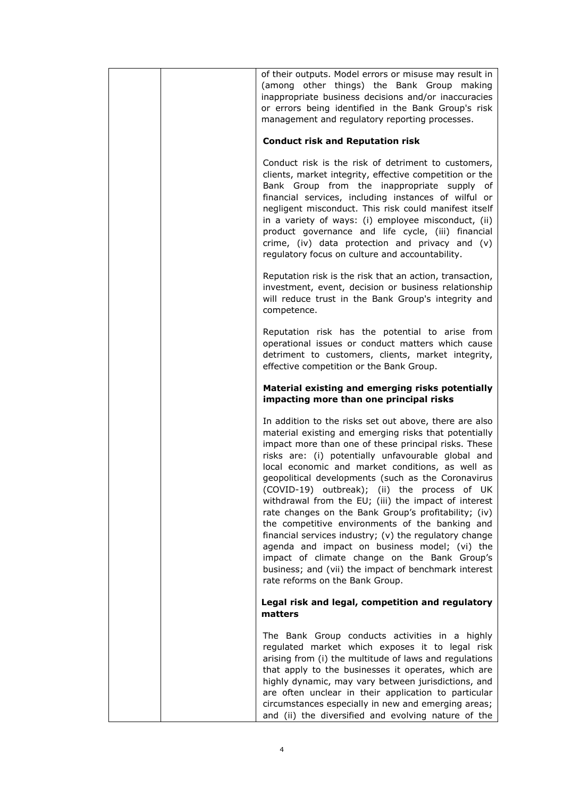|  | of their outputs. Model errors or misuse may result in<br>(among other things) the Bank Group making<br>inappropriate business decisions and/or inaccuracies<br>or errors being identified in the Bank Group's risk<br>management and regulatory reporting processes.                                                                                                                                                                                                                                                                                                                                                                                                                                                                                                                                            |
|--|------------------------------------------------------------------------------------------------------------------------------------------------------------------------------------------------------------------------------------------------------------------------------------------------------------------------------------------------------------------------------------------------------------------------------------------------------------------------------------------------------------------------------------------------------------------------------------------------------------------------------------------------------------------------------------------------------------------------------------------------------------------------------------------------------------------|
|  | <b>Conduct risk and Reputation risk</b>                                                                                                                                                                                                                                                                                                                                                                                                                                                                                                                                                                                                                                                                                                                                                                          |
|  | Conduct risk is the risk of detriment to customers,<br>clients, market integrity, effective competition or the<br>Bank Group from the inappropriate supply of<br>financial services, including instances of wilful or<br>negligent misconduct. This risk could manifest itself<br>in a variety of ways: (i) employee misconduct, (ii)<br>product governance and life cycle, (iii) financial<br>crime, (iv) data protection and privacy and (v)<br>regulatory focus on culture and accountability.                                                                                                                                                                                                                                                                                                                |
|  | Reputation risk is the risk that an action, transaction,<br>investment, event, decision or business relationship<br>will reduce trust in the Bank Group's integrity and<br>competence.                                                                                                                                                                                                                                                                                                                                                                                                                                                                                                                                                                                                                           |
|  | Reputation risk has the potential to arise from<br>operational issues or conduct matters which cause<br>detriment to customers, clients, market integrity,<br>effective competition or the Bank Group.                                                                                                                                                                                                                                                                                                                                                                                                                                                                                                                                                                                                           |
|  | Material existing and emerging risks potentially<br>impacting more than one principal risks                                                                                                                                                                                                                                                                                                                                                                                                                                                                                                                                                                                                                                                                                                                      |
|  | In addition to the risks set out above, there are also<br>material existing and emerging risks that potentially<br>impact more than one of these principal risks. These<br>risks are: (i) potentially unfavourable global and<br>local economic and market conditions, as well as<br>geopolitical developments (such as the Coronavirus<br>(COVID-19) outbreak); (ii) the process of UK<br>withdrawal from the EU; (iii) the impact of interest<br>rate changes on the Bank Group's profitability; (iv)<br>the competitive environments of the banking and<br>financial services industry; (v) the regulatory change<br>agenda and impact on business model; (vi) the<br>impact of climate change on the Bank Group's<br>business; and (vii) the impact of benchmark interest<br>rate reforms on the Bank Group. |
|  | Legal risk and legal, competition and regulatory<br>matters                                                                                                                                                                                                                                                                                                                                                                                                                                                                                                                                                                                                                                                                                                                                                      |
|  | The Bank Group conducts activities in a highly<br>regulated market which exposes it to legal risk<br>arising from (i) the multitude of laws and regulations<br>that apply to the businesses it operates, which are<br>highly dynamic, may vary between jurisdictions, and<br>are often unclear in their application to particular<br>circumstances especially in new and emerging areas;<br>and (ii) the diversified and evolving nature of the                                                                                                                                                                                                                                                                                                                                                                  |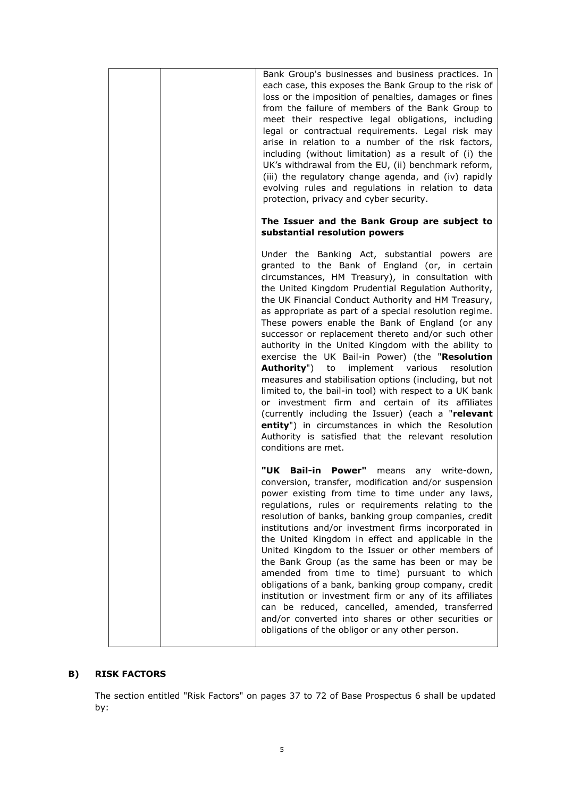| Bank Group's businesses and business practices. In<br>each case, this exposes the Bank Group to the risk of<br>loss or the imposition of penalties, damages or fines<br>from the failure of members of the Bank Group to<br>meet their respective legal obligations, including<br>legal or contractual requirements. Legal risk may<br>arise in relation to a number of the risk factors,<br>including (without limitation) as a result of (i) the<br>UK's withdrawal from the EU, (ii) benchmark reform,<br>(iii) the regulatory change agenda, and (iv) rapidly<br>evolving rules and regulations in relation to data<br>protection, privacy and cyber security.                                                                                                                                                                                                                                                                                                            |
|-------------------------------------------------------------------------------------------------------------------------------------------------------------------------------------------------------------------------------------------------------------------------------------------------------------------------------------------------------------------------------------------------------------------------------------------------------------------------------------------------------------------------------------------------------------------------------------------------------------------------------------------------------------------------------------------------------------------------------------------------------------------------------------------------------------------------------------------------------------------------------------------------------------------------------------------------------------------------------|
| The Issuer and the Bank Group are subject to<br>substantial resolution powers                                                                                                                                                                                                                                                                                                                                                                                                                                                                                                                                                                                                                                                                                                                                                                                                                                                                                                 |
| Under the Banking Act, substantial powers are<br>granted to the Bank of England (or, in certain<br>circumstances, HM Treasury), in consultation with<br>the United Kingdom Prudential Regulation Authority,<br>the UK Financial Conduct Authority and HM Treasury,<br>as appropriate as part of a special resolution regime.<br>These powers enable the Bank of England (or any<br>successor or replacement thereto and/or such other<br>authority in the United Kingdom with the ability to<br>exercise the UK Bail-in Power) (the "Resolution<br><b>Authority")</b> to<br>implement various<br>resolution<br>measures and stabilisation options (including, but not<br>limited to, the bail-in tool) with respect to a UK bank<br>or investment firm and certain of its affiliates<br>(currently including the Issuer) (each a "relevant<br>entity") in circumstances in which the Resolution<br>Authority is satisfied that the relevant resolution<br>conditions are met. |
| "UK Bail-in Power" means any write-down,<br>conversion, transfer, modification and/or suspension<br>power existing from time to time under any laws,<br>regulations, rules or requirements relating to the<br>resolution of banks, banking group companies, credit<br>institutions and/or investment firms incorporated in<br>the United Kingdom in effect and applicable in the<br>United Kingdom to the Issuer or other members of<br>the Bank Group (as the same has been or may be<br>amended from time to time) pursuant to which<br>obligations of a bank, banking group company, credit<br>institution or investment firm or any of its affiliates<br>can be reduced, cancelled, amended, transferred<br>and/or converted into shares or other securities or<br>obligations of the obligor or any other person.                                                                                                                                                        |

# **B) RISK FACTORS**

The section entitled "Risk Factors" on pages 37 to 72 of Base Prospectus 6 shall be updated by: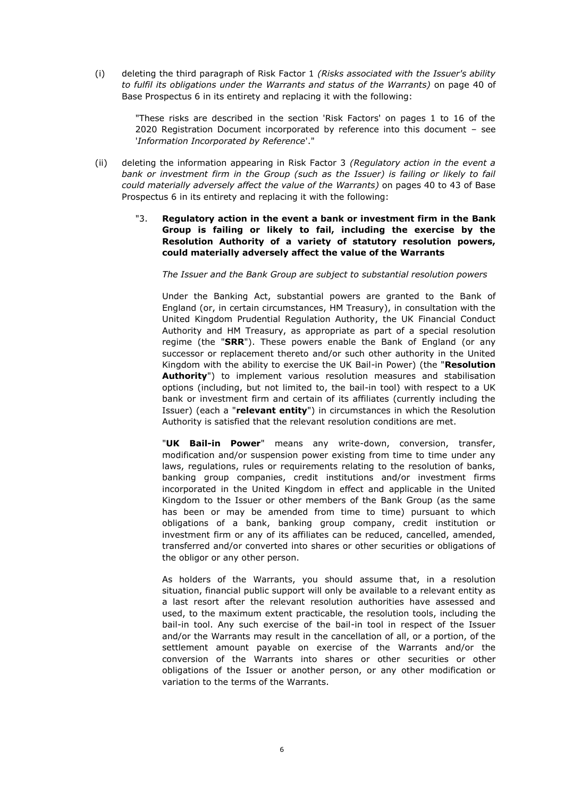(i) deleting the third paragraph of Risk Factor 1 *(Risks associated with the Issuer's ability to fulfil its obligations under the Warrants and status of the Warrants)* on page 40 of Base Prospectus 6 in its entirety and replacing it with the following:

"These risks are described in the section 'Risk Factors' on pages 1 to 16 of the 2020 Registration Document incorporated by reference into this document – see '*Information Incorporated by Reference*'."

- (ii) deleting the information appearing in Risk Factor 3 *(Regulatory action in the event a bank or investment firm in the Group (such as the Issuer) is failing or likely to fail could materially adversely affect the value of the Warrants)* on pages 40 to 43 of Base Prospectus 6 in its entirety and replacing it with the following:
	- "3. **Regulatory action in the event a bank or investment firm in the Bank Group is failing or likely to fail, including the exercise by the Resolution Authority of a variety of statutory resolution powers, could materially adversely affect the value of the Warrants**

*The Issuer and the Bank Group are subject to substantial resolution powers*

Under the Banking Act, substantial powers are granted to the Bank of England (or, in certain circumstances, HM Treasury), in consultation with the United Kingdom Prudential Regulation Authority, the UK Financial Conduct Authority and HM Treasury, as appropriate as part of a special resolution regime (the "**SRR**"). These powers enable the Bank of England (or any successor or replacement thereto and/or such other authority in the United Kingdom with the ability to exercise the UK Bail-in Power) (the "**Resolution Authority**") to implement various resolution measures and stabilisation options (including, but not limited to, the bail-in tool) with respect to a UK bank or investment firm and certain of its affiliates (currently including the Issuer) (each a "**relevant entity**") in circumstances in which the Resolution Authority is satisfied that the relevant resolution conditions are met.

"**UK Bail-in Power**" means any write-down, conversion, transfer, modification and/or suspension power existing from time to time under any laws, regulations, rules or requirements relating to the resolution of banks, banking group companies, credit institutions and/or investment firms incorporated in the United Kingdom in effect and applicable in the United Kingdom to the Issuer or other members of the Bank Group (as the same has been or may be amended from time to time) pursuant to which obligations of a bank, banking group company, credit institution or investment firm or any of its affiliates can be reduced, cancelled, amended, transferred and/or converted into shares or other securities or obligations of the obligor or any other person.

As holders of the Warrants, you should assume that, in a resolution situation, financial public support will only be available to a relevant entity as a last resort after the relevant resolution authorities have assessed and used, to the maximum extent practicable, the resolution tools, including the bail-in tool. Any such exercise of the bail-in tool in respect of the Issuer and/or the Warrants may result in the cancellation of all, or a portion, of the settlement amount payable on exercise of the Warrants and/or the conversion of the Warrants into shares or other securities or other obligations of the Issuer or another person, or any other modification or variation to the terms of the Warrants.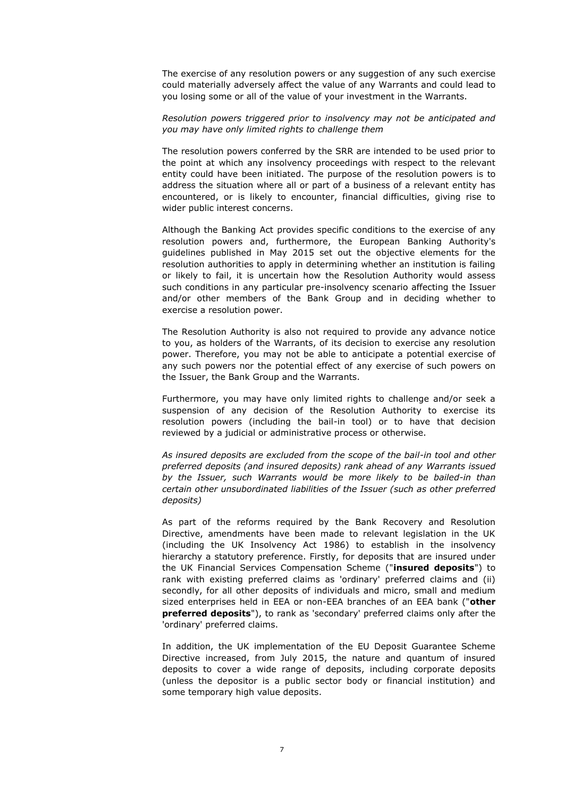The exercise of any resolution powers or any suggestion of any such exercise could materially adversely affect the value of any Warrants and could lead to you losing some or all of the value of your investment in the Warrants.

#### *Resolution powers triggered prior to insolvency may not be anticipated and you may have only limited rights to challenge them*

The resolution powers conferred by the SRR are intended to be used prior to the point at which any insolvency proceedings with respect to the relevant entity could have been initiated. The purpose of the resolution powers is to address the situation where all or part of a business of a relevant entity has encountered, or is likely to encounter, financial difficulties, giving rise to wider public interest concerns.

Although the Banking Act provides specific conditions to the exercise of any resolution powers and, furthermore, the European Banking Authority's guidelines published in May 2015 set out the objective elements for the resolution authorities to apply in determining whether an institution is failing or likely to fail, it is uncertain how the Resolution Authority would assess such conditions in any particular pre-insolvency scenario affecting the Issuer and/or other members of the Bank Group and in deciding whether to exercise a resolution power.

The Resolution Authority is also not required to provide any advance notice to you, as holders of the Warrants, of its decision to exercise any resolution power. Therefore, you may not be able to anticipate a potential exercise of any such powers nor the potential effect of any exercise of such powers on the Issuer, the Bank Group and the Warrants.

Furthermore, you may have only limited rights to challenge and/or seek a suspension of any decision of the Resolution Authority to exercise its resolution powers (including the bail-in tool) or to have that decision reviewed by a judicial or administrative process or otherwise.

*As insured deposits are excluded from the scope of the bail-in tool and other preferred deposits (and insured deposits) rank ahead of any Warrants issued by the Issuer, such Warrants would be more likely to be bailed-in than certain other unsubordinated liabilities of the Issuer (such as other preferred deposits)*

As part of the reforms required by the Bank Recovery and Resolution Directive, amendments have been made to relevant legislation in the UK (including the UK Insolvency Act 1986) to establish in the insolvency hierarchy a statutory preference. Firstly, for deposits that are insured under the UK Financial Services Compensation Scheme ("**insured deposits**") to rank with existing preferred claims as 'ordinary' preferred claims and (ii) secondly, for all other deposits of individuals and micro, small and medium sized enterprises held in EEA or non-EEA branches of an EEA bank ("**other preferred deposits**"), to rank as 'secondary' preferred claims only after the 'ordinary' preferred claims.

In addition, the UK implementation of the EU Deposit Guarantee Scheme Directive increased, from July 2015, the nature and quantum of insured deposits to cover a wide range of deposits, including corporate deposits (unless the depositor is a public sector body or financial institution) and some temporary high value deposits.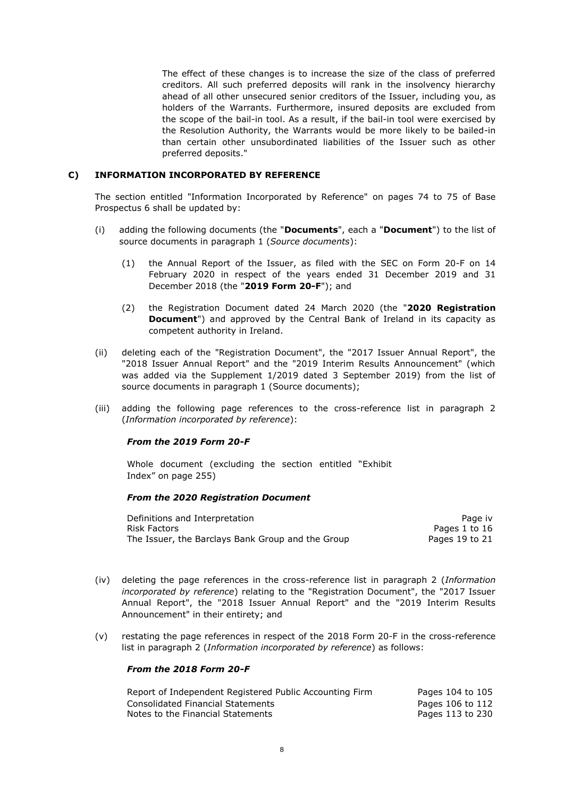The effect of these changes is to increase the size of the class of preferred creditors. All such preferred deposits will rank in the insolvency hierarchy ahead of all other unsecured senior creditors of the Issuer, including you, as holders of the Warrants. Furthermore, insured deposits are excluded from the scope of the bail-in tool. As a result, if the bail-in tool were exercised by the Resolution Authority, the Warrants would be more likely to be bailed-in than certain other unsubordinated liabilities of the Issuer such as other preferred deposits."

## **C) INFORMATION INCORPORATED BY REFERENCE**

The section entitled "Information Incorporated by Reference" on pages 74 to 75 of Base Prospectus 6 shall be updated by:

- (i) adding the following documents (the "**Documents**", each a "**Document**") to the list of source documents in paragraph 1 (*Source documents*):
	- (1) the Annual Report of the Issuer, as filed with the SEC on Form 20-F on 14 February 2020 in respect of the years ended 31 December 2019 and 31 December 2018 (the "**2019 Form 20-F**"); and
	- (2) the Registration Document dated 24 March 2020 (the "**2020 Registration Document**") and approved by the Central Bank of Ireland in its capacity as competent authority in Ireland.
- (ii) deleting each of the "Registration Document", the "2017 Issuer Annual Report", the "2018 Issuer Annual Report" and the "2019 Interim Results Announcement" (which was added via the Supplement 1/2019 dated 3 September 2019) from the list of source documents in paragraph 1 (Source documents);
- (iii) adding the following page references to the cross-reference list in paragraph 2 (*Information incorporated by reference*):

### *From the 2019 Form 20-F*

Whole document (excluding the section entitled "Exhibit Index" on page 255)

#### *From the 2020 Registration Document*

| Definitions and Interpretation                    | Page iv        |
|---------------------------------------------------|----------------|
| Risk Factors                                      | Pages 1 to 16  |
| The Issuer, the Barclays Bank Group and the Group | Pages 19 to 21 |

- (iv) deleting the page references in the cross-reference list in paragraph 2 (*Information incorporated by reference*) relating to the "Registration Document", the "2017 Issuer Annual Report", the "2018 Issuer Annual Report" and the "2019 Interim Results Announcement" in their entirety; and
- (v) restating the page references in respect of the 2018 Form 20-F in the cross-reference list in paragraph 2 (*Information incorporated by reference*) as follows:

#### *From the 2018 Form 20-F*

| Report of Independent Registered Public Accounting Firm | Pages 104 to 105 |
|---------------------------------------------------------|------------------|
| Consolidated Financial Statements                       | Pages 106 to 112 |
| Notes to the Financial Statements                       | Pages 113 to 230 |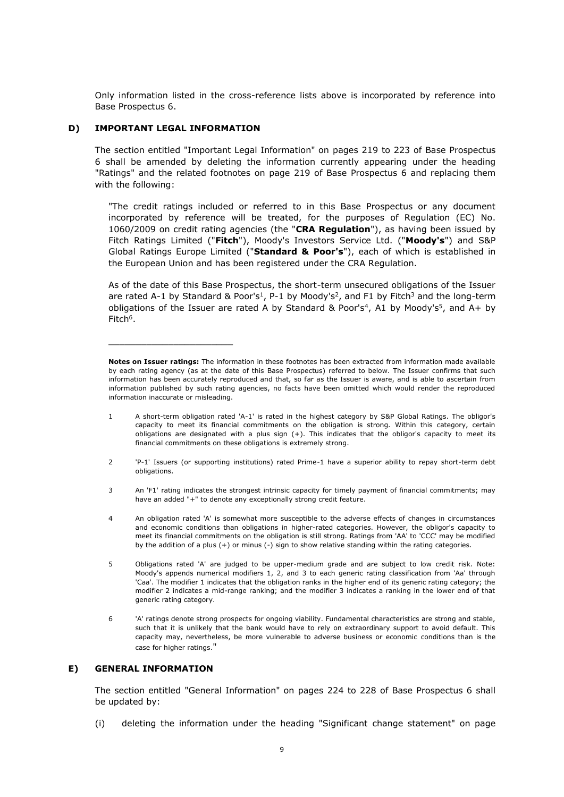Only information listed in the cross-reference lists above is incorporated by reference into Base Prospectus 6.

## **D) IMPORTANT LEGAL INFORMATION**

\_\_\_\_\_\_\_\_\_\_\_\_\_\_\_\_\_\_\_\_\_\_\_

The section entitled "Important Legal Information" on pages 219 to 223 of Base Prospectus 6 shall be amended by deleting the information currently appearing under the heading "Ratings" and the related footnotes on page 219 of Base Prospectus 6 and replacing them with the following:

"The credit ratings included or referred to in this Base Prospectus or any document incorporated by reference will be treated, for the purposes of Regulation (EC) No. 1060/2009 on credit rating agencies (the "**CRA Regulation**"), as having been issued by Fitch Ratings Limited ("**Fitch**"), Moody's Investors Service Ltd. ("**Moody's**") and S&P Global Ratings Europe Limited ("**Standard & Poor's**"), each of which is established in the European Union and has been registered under the CRA Regulation.

As of the date of this Base Prospectus, the short-term unsecured obligations of the Issuer are rated A-1 by Standard & Poor's<sup>1</sup>, P-1 by Moody's<sup>2</sup>, and F1 by Fitch<sup>3</sup> and the long-term obligations of the Issuer are rated A by Standard & Poor's<sup>4</sup>, A1 by Moody's<sup>5</sup>, and A+ by Fitch<sup>6</sup>.

- 1 A short-term obligation rated 'A-1' is rated in the highest category by S&P Global Ratings. The obligor's capacity to meet its financial commitments on the obligation is strong. Within this category, certain obligations are designated with a plus sign (+). This indicates that the obligor's capacity to meet its financial commitments on these obligations is extremely strong.
- 2 'P-1' Issuers (or supporting institutions) rated Prime-1 have a superior ability to repay short-term debt obligations.
- 3 An 'F1' rating indicates the strongest intrinsic capacity for timely payment of financial commitments; may have an added "+" to denote any exceptionally strong credit feature.
- An obligation rated 'A' is somewhat more susceptible to the adverse effects of changes in circumstances and economic conditions than obligations in higher-rated categories. However, the obligor's capacity to meet its financial commitments on the obligation is still strong. Ratings from 'AA' to 'CCC' may be modified by the addition of a plus (+) or minus (-) sign to show relative standing within the rating categories.
- 5 Obligations rated 'A' are judged to be upper-medium grade and are subject to low credit risk. Note: Moody's appends numerical modifiers 1, 2, and 3 to each generic rating classification from 'Aa' through 'Caa'. The modifier 1 indicates that the obligation ranks in the higher end of its generic rating category; the modifier 2 indicates a mid-range ranking; and the modifier 3 indicates a ranking in the lower end of that generic rating category.
- 6 'A' ratings denote strong prospects for ongoing viability. Fundamental characteristics are strong and stable, such that it is unlikely that the bank would have to rely on extraordinary support to avoid default. This capacity may, nevertheless, be more vulnerable to adverse business or economic conditions than is the case for higher ratings."

## **E) GENERAL INFORMATION**

The section entitled "General Information" on pages 224 to 228 of Base Prospectus 6 shall be updated by:

(i) deleting the information under the heading "Significant change statement" on page

**Notes on Issuer ratings:** The information in these footnotes has been extracted from information made available by each rating agency (as at the date of this Base Prospectus) referred to below. The Issuer confirms that such information has been accurately reproduced and that, so far as the Issuer is aware, and is able to ascertain from information published by such rating agencies, no facts have been omitted which would render the reproduced information inaccurate or misleading.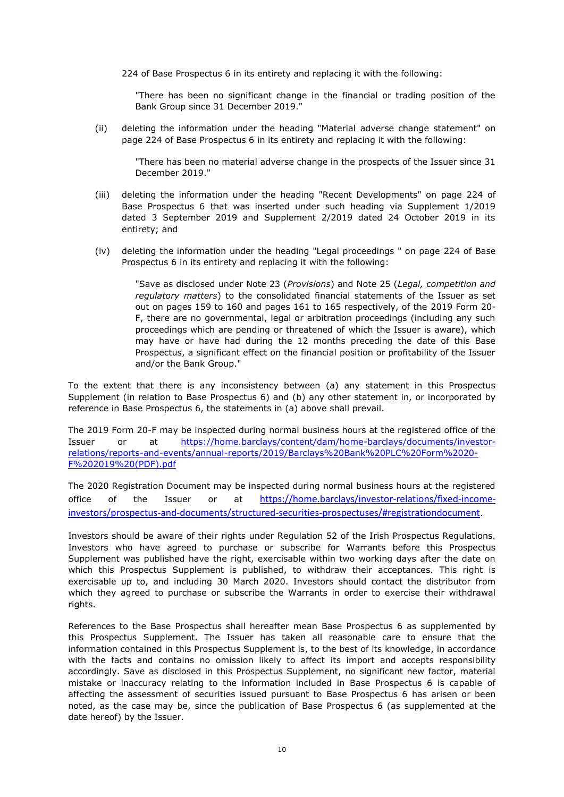224 of Base Prospectus 6 in its entirety and replacing it with the following:

"There has been no significant change in the financial or trading position of the Bank Group since 31 December 2019."

(ii) deleting the information under the heading "Material adverse change statement" on page 224 of Base Prospectus 6 in its entirety and replacing it with the following:

"There has been no material adverse change in the prospects of the Issuer since 31 December 2019."

- (iii) deleting the information under the heading "Recent Developments" on page 224 of Base Prospectus 6 that was inserted under such heading via Supplement 1/2019 dated 3 September 2019 and Supplement 2/2019 dated 24 October 2019 in its entirety; and
- (iv) deleting the information under the heading "Legal proceedings " on page 224 of Base Prospectus 6 in its entirety and replacing it with the following:

"Save as disclosed under Note 23 (*Provisions*) and Note 25 (*Legal, competition and regulatory matters*) to the consolidated financial statements of the Issuer as set out on pages 159 to 160 and pages 161 to 165 respectively, of the 2019 Form 20- F, there are no governmental, legal or arbitration proceedings (including any such proceedings which are pending or threatened of which the Issuer is aware), which may have or have had during the 12 months preceding the date of this Base Prospectus, a significant effect on the financial position or profitability of the Issuer and/or the Bank Group."

To the extent that there is any inconsistency between (a) any statement in this Prospectus Supplement (in relation to Base Prospectus 6) and (b) any other statement in, or incorporated by reference in Base Prospectus 6, the statements in (a) above shall prevail.

The 2019 Form 20-F may be inspected during normal business hours at the registered office of the Issuer or at [https://home.barclays/content/dam/home-barclays/documents/investor](https://home.barclays/content/dam/home-barclays/documents/investor-relations/reports-and-events/annual-reports/2019/Barclays%20Bank%20PLC%20Form%2020-F%202019%20(PDF).pdf)[relations/reports-and-events/annual-reports/2019/Barclays%20Bank%20PLC%20Form%2020-](https://home.barclays/content/dam/home-barclays/documents/investor-relations/reports-and-events/annual-reports/2019/Barclays%20Bank%20PLC%20Form%2020-F%202019%20(PDF).pdf) [F%202019%20\(PDF\).pdf](https://home.barclays/content/dam/home-barclays/documents/investor-relations/reports-and-events/annual-reports/2019/Barclays%20Bank%20PLC%20Form%2020-F%202019%20(PDF).pdf)

The 2020 Registration Document may be inspected during normal business hours at the registered office of the Issuer or at [https://home.barclays/investor-relations/fixed-income](https://protect-eu.mimecast.com/s/q6N3C8q1jiJNVWmhndamW)[investors/prospectus-and-documents/structured-securities-prospectuses/#registrationdocument](https://protect-eu.mimecast.com/s/q6N3C8q1jiJNVWmhndamW).

Investors should be aware of their rights under Regulation 52 of the Irish Prospectus Regulations. Investors who have agreed to purchase or subscribe for Warrants before this Prospectus Supplement was published have the right, exercisable within two working days after the date on which this Prospectus Supplement is published, to withdraw their acceptances. This right is exercisable up to, and including 30 March 2020. Investors should contact the distributor from which they agreed to purchase or subscribe the Warrants in order to exercise their withdrawal rights.

References to the Base Prospectus shall hereafter mean Base Prospectus 6 as supplemented by this Prospectus Supplement. The Issuer has taken all reasonable care to ensure that the information contained in this Prospectus Supplement is, to the best of its knowledge, in accordance with the facts and contains no omission likely to affect its import and accepts responsibility accordingly. Save as disclosed in this Prospectus Supplement, no significant new factor, material mistake or inaccuracy relating to the information included in Base Prospectus 6 is capable of affecting the assessment of securities issued pursuant to Base Prospectus 6 has arisen or been noted, as the case may be, since the publication of Base Prospectus 6 (as supplemented at the date hereof) by the Issuer.